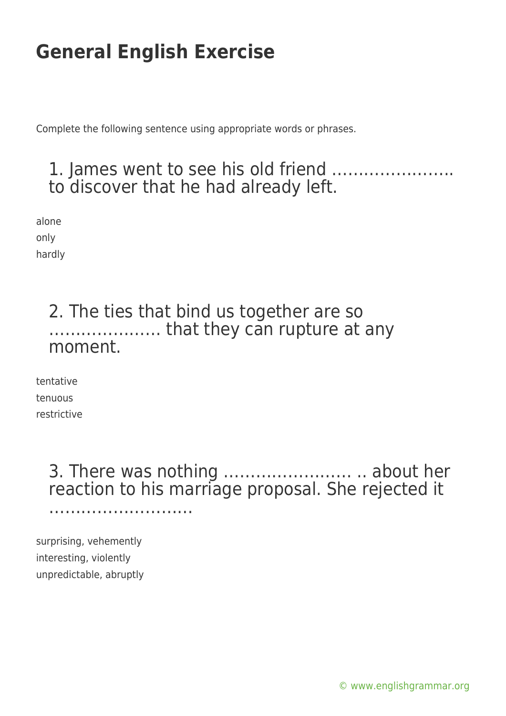Complete the following sentence using appropriate words or phrases.

### 1. James went to see his old friend ………………….. to discover that he had already left.

alone only hardly

#### 2. The ties that bind us together are so ………………… that they can rupture at any moment.

tentative tenuous restrictive

> 3. There was nothing …………………… .. about her reaction to his marriage proposal. She rejected it ……………………………

surprising, vehemently interesting, violently unpredictable, abruptly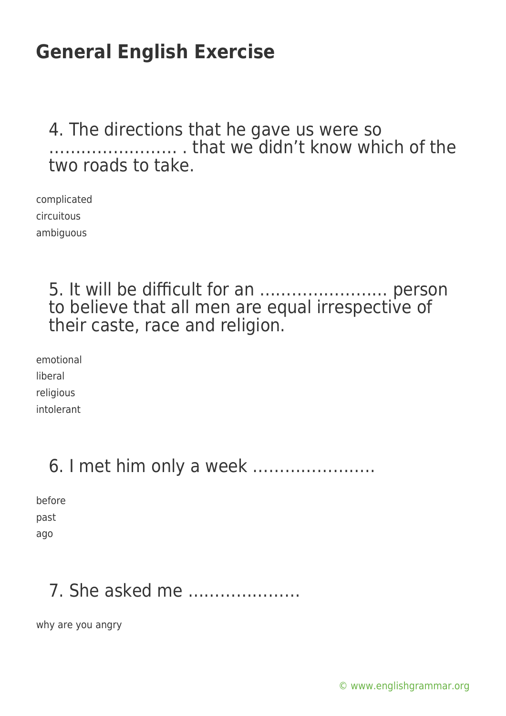#### 4. The directions that he gave us were so …………………… . that we didn't know which of the two roads to take.

complicated circuitous ambiguous

#### 5. It will be difficult for an …………………… person to believe that all men are equal irrespective of their caste, race and religion.

emotional liberal religious intolerant

# 6. I met him only a week …………………..

before past

ago

# 7. She asked me …………………

why are you angry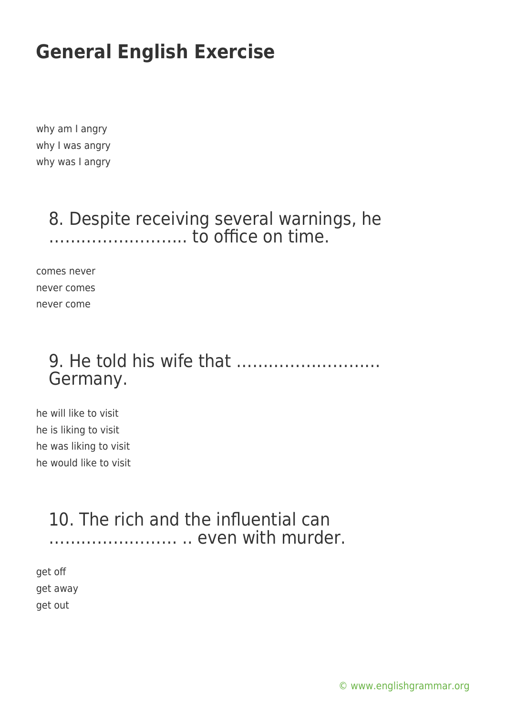why am I angry why I was angry why was I angry

#### 8. Despite receiving several warnings, he …………………….. to office on time.

comes never never comes never come

### 9. He told his wife that ……………………… Germany.

he will like to visit he is liking to visit he was liking to visit he would like to visit

### 10. The rich and the influential can …………………… .. even with murder.

get off get away get out